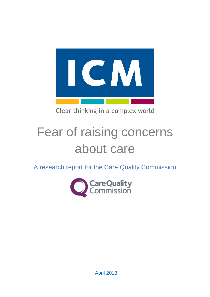

Clear thinking in a complex world

# Fear of raising concerns about care

A research report for the Care Quality Commission



April 2013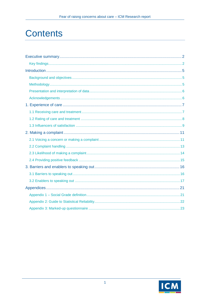# **Contents**

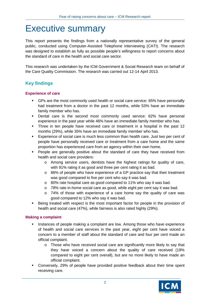# <span id="page-2-0"></span>Executive summary

This report presents the findings from a nationally representative survey of the general public, conducted using Computer-Assisted Telephone Interviewing (CATI). The research was designed to establish as fully as possible people's willingness to report concerns about the standard of care in the health and social care sector.

This research was undertaken by the ICM Government & Social Research team on behalf of the Care Quality Commission. The research was carried out 12-14 April 2013.

# <span id="page-2-1"></span>**Key findings**

### **Experience of care**

- GPs are the most commonly used health or social care service: 65% have personally had treatment from a doctor in the past 12 months, while 53% have an immediate family member who has.
- **•** Dental care is the second most commonly used service: 62% have personal experience in the past year while 46% have an immediate family member who has.
- Three in ten people have received care or treatment in a hospital in the past 12 months (29%), while 35% have an immediate family member who has.
- Experience of social care is much less common than health care. Just two per cent of people have personally received care or treatment from a care home and the same proportion has experienced care from an agency within their own home.
- **People are generally positive about the standard of care they have received from** health and social care providers:
	- o Among service users, dentists have the highest ratings for quality of care, with 91% rating it as good and three per cent rating it as bad.
	- o 86% of people who have experience of a GP practice say that their treatment was good compared to five per cent who say it was bad.
	- o 80% rate hospital care as good compared to 11% who say it was bad.
	- o 78% rate in-home social care as good, while eight per cent say it was bad.
	- o 74% of those with experience of a care home say the quality of care was good compared to 12% who say it was bad.
- Being treated with respect is the most important factor for people in the provision of health and social care (47%), while fairness is also rated highly (29%).

### **Making a complaint**

- Instances of people making a complaint are low. Among those who have experience of health and social care services in the past year, eight per cent have voiced a concern to a member of staff about the standard of care and four per cent made an official complaint.
	- o Those who have received social care are significantly more likely to say that they have voiced a concern about the quality of care received (19% compared to eight per cent overall), but are no more likely to have made an official complaint.
- Conversely, 29% of people have provided positive feedback about their time spent receiving care.

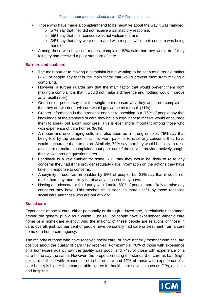- Those who have made a complaint tend to be negative about the way it was handled:
	- o 57% say that they did not receive a satisfactory response;
	- o 55% say that their concern was not welcomed; and
	- o 34% say that they were not treated with respect while their concern was being handled.
- Among those who have not made a complaint, 82% said that they would do if they felt they had received a poor standard of care.

### **Barriers and enablers**

- The main barrier to making a complaint is not wanting to be seen as a trouble maker (26% of people say that is the main factor that would prevent them from making a complaint).
- However, a further quarter say that the main factor that would prevent them from making a complaint is that it would not make a difference and nothing would improve as a result (25%).
- One in nine people say that the single main reason why they would not complain is that they are worried their care would get worse as a result (11%).
- Greater information is the strongest enabler to speaking out. 76% of people say that knowledge of the standard of care they have a legal right to receive would encourage them to speak out about poor care. This is even more important among those who with experience of care homes (86%).
- An open and encouraging culture is also seen as a strong enabler: 75% say that being told by the provider that they want patients to raise any concerns they have would encourage them to do so. Similarly, 73% say that they would be likely to raise a concern or make a complaint about poor care if the service provider actively sought their views through questionnaires.
- Feedback is a key enabler for some: 70% say they would be likely to raise any concerns they had if the provider regularly gave information on the actions they have taken in response to concerns.
- Anonymity is seen as an enabler by 64% of people, but 21% say that it would not make them any more likely to raise any concerns they have.
- **Having an advocate or third party would make 68% of people more likely to raise any** concerns they have. This mechanism is seen as more useful by those receiving social care and those who are out of work.

### **Social care**

Experience of social care, either personally or through a loved one, is relatively uncommon among the general public as a whole. Just 14% of people have experienced either a care home or a home-care agency. And the majority of these people are relations of those in care: overall, just two per cent of people have personally had care or treatment from a care home or a home-care agency.

The majority of those who have received social care, or have a family member who has, are positive about the quality of care they received. For example, 78% of those with experience of a home-care agency say the quality was good, and 74% of those with experience of a care home say the same. However, the proportion rating the standard of care as bad (eight per cent of those with experience of in-home care and 12% of those with experience of a care home) is higher than comparable figures for health care services such as GPs, dentists and hospitals.

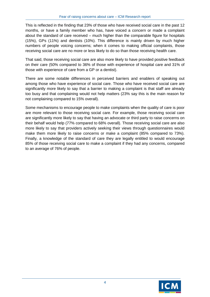This is reflected in the finding that 23% of those who have received social care in the past 12 months, or have a family member who has, have voiced a concern or made a complaint about the standard of care received – much higher than the comparable figure for hospitals (15%), GPs (11%) and dentists (10%). This difference is mainly driven by much higher numbers of people voicing concerns; when it comes to making official complaints, those receiving social care are no more or less likely to do so than those receiving health care.

That said, those receiving social care are also more likely to have provided positive feedback on their care (50% compared to 36% of those with experience of hospital care and 31% of those with experience of care from a GP or a dentist).

There are some notable differences in perceived barriers and enablers of speaking out among those who have experience of social care. Those who have received social care are significantly more likely to say that a barrier to making a complaint is that staff are already too busy and that complaining would not help matters (23% say this is the main reason for not complaining compared to 15% overall).

Some mechanisms to encourage people to make complaints when the quality of care is poor are more relevant to those receiving social care. For example, those receiving social care are significantly more likely to say that having an advocate or third party to raise concerns on their behalf would help (77% compared to 68% overall). Those receiving social care are also more likely to say that providers actively seeking their views through questionnaires would make them more likely to raise concerns or make a complaint (85% compared to 73%). Finally, a knowledge of the standard of care they are legally entitled to would encourage 85% of those receiving social care to make a complaint if they had any concerns, compared to an average of 76% of people.

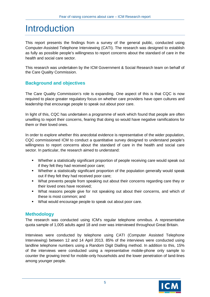# <span id="page-5-0"></span>Introduction

This report presents the findings from a survey of the general public, conducted using Computer-Assisted Telephone Interviewing (CATI). The research was designed to establish as fully as possible people's willingness to report concerns about the standard of care in the health and social care sector.

This research was undertaken by the ICM Government & Social Research team on behalf of the Care Quality Commission.

# <span id="page-5-1"></span>**Background and objectives**

The Care Quality Commission's role is expanding. One aspect of this is that CQC is now required to place greater regulatory focus on whether care providers have open cultures and leadership that encourage people to speak out about poor care.

In light of this, CQC has undertaken a programme of work which found that people are often unwilling to report their concerns, fearing that doing so would have negative ramifications for them or their loved ones.

In order to explore whether this anecdotal evidence is representative of the wider population, CQC commissioned ICM to conduct a quantitative survey designed to understand people's willingness to report concerns about the standard of care in the health and social care sector. In particular, the research aimed to understand:

- Whether a statistically significant proportion of people receiving care would speak out if they felt they had received poor care;
- Whether a statistically significant proportion of the population generally would speak out if they felt they had received poor care;
- What prevents people from speaking out about their concerns regarding care they or their loved ones have received;
- What reasons people give for not speaking out about their concerns, and which of these is most common; and
- What would encourage people to speak out about poor care.

# <span id="page-5-2"></span>**Methodology**

The research was conducted using ICM's regular telephone omnibus. A representative quota sample of 1,005 adults aged 18 and over was interviewed throughout Great Britain.

Interviews were conducted by telephone using CATI (Computer Assisted Telephone Interviewing) between 12 and 14 April 2013. 85% of the interviews were conducted using landline telephone numbers using a Random Digit Dialling method. In addition to this, 15% of the interviews were conducted using a representative mobile-phone only sample to counter the growing trend for mobile-only households and the lower penetration of land-lines among younger people.

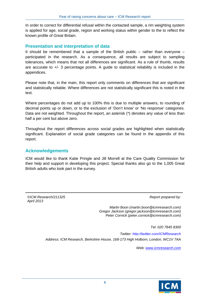In order to correct for differential refusal within the contacted sample, a rim weighting system is applied for age, social grade, region and working status within gender to the to reflect the known profile of Great Britain.

### <span id="page-6-0"></span>**Presentation and interpretation of data**

It should be remembered that a sample of the British public – rather than everyone – participated in the research. As a consequence, all results are subject to sampling tolerances, which means that not all differences are significant. As a rule of thumb, results are accurate to +/- 3 percentage points. A guide to statistical reliability is included in the appendices.

Please note that, in the main, this report only comments on differences that are significant and statistically reliable. Where differences are not statistically significant this is noted in the text.

Where percentages do not add up to 100% this is due to multiple answers, to rounding of decimal points up or down, or to the exclusion of 'Don't know' or 'No response' categories. Data are not weighted. Throughout the report, an asterisk (\*) denotes any value of less than half a per cent but above zero.

Throughout the report differences across social grades are highlighted when statistically significant. Explanation of social grade categories can be found in the appendix of this report.

### <span id="page-6-1"></span>**Acknowledgements**

ICM would like to thank Katie Pringle and Jill Morrell at the Care Quality Commission for their help and support in developing this project. Special thanks also go to the 1,005 Great British adults who took part in the survey.

*©ICM Research/211325 April 2013*

*Report prepared by:*

*Martin Boon (martin.boon@icmresearch.com) Gregor Jackson (gregor.jackson@icmresearch.com) Peter Cornick (peter.cornick@icmresearch.com)*

*Tel: 020 7845 8300* 

*Twitter:<http://twitter.com/ICMResearch> Address: ICM Research, Berkshire House, 168-173 High Holborn, London, WC1V 7AA*

*Web: [www.icmresearch.com](http://www.icmresearch.com/)*

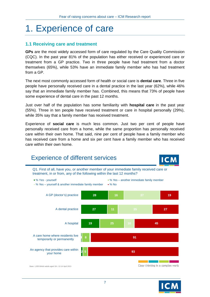# <span id="page-7-0"></span>1. Experience of care

# <span id="page-7-1"></span>**1.1 Receiving care and treatment**

**GPs** are the most widely accessed form of care regulated by the Care Quality Commission (CQC). In the past year 81% of the population has either received or experienced care or treatment from a GP practice. Two in three people have had treatment from a doctor themselves (65%), while 53% have an immediate family member who has had treatment from a GP.

The next most commonly accessed form of health or social care is **dental care**. Three in five people have personally received care in a dental practice in the last year (62%), while 46% say that an immediate family member has. Combined, this means that 73% of people have some experience of dental care in the past 12 months.

Just over half of the population has some familiarity with **hospital care** in the past year (55%). Three in ten people have received treatment or care in hospital personally (29%), while 35% say that a family member has received treatment.

Experience of **social care** is much less common. Just two per cent of people have personally received care from a home, while the same proportion has personally received care within their own home. That said, nine per cent of people have a family member who has received care from a home and six per cent have a family member who has received care within their own home.



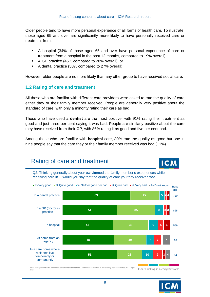Older people tend to have more personal experience of all forms of health care. To illustrate, those aged 65 and over are significantly more likely to have personally received care or treatment from:

- A hospital (34% of those aged 65 and over have personal experience of care or treatment from a hospital in the past 12 months, compared to 19% overall);
- A GP practice (46% compared to 28% overall); or
- A dental practice (33% compared to 27% overall).

However, older people are no more likely than any other group to have received social care.

# <span id="page-8-0"></span>**1.2 Rating of care and treatment**

All those who are familiar with different care providers were asked to rate the quality of care either they or their family member received. People are generally very positive about the standard of care, with only a minority rating their care as bad.

Those who have used a **dentist** are the most positive, with 91% rating their treatment as good and just three per cent saying it was bad. People are similarly positive about the care they have received from their **GP**, with 86% rating it as good and five per cent bad.

Among those who are familiar with **hospital** care, 80% rate the quality as good but one in nine people say that the care they or their family member received was bad (11%).

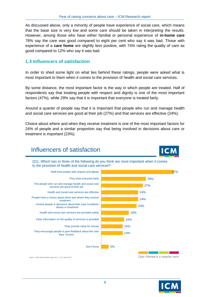As discussed above, only a minority of people have experience of social care, which means that the base size is very low and some care should be taken in interpreting the results. However, among those who have either familial or personal experience of **in-home care** 78% say the care was good compared to eight per cent who say it was bad. Those with experience of a **care home** are slightly less positive, with 74% rating the quality of care as good compared to 12% who say it was bad.

## <span id="page-9-0"></span>**1.3 Influencers of satisfaction**

In order to shed some light on what lies behind these ratings, people were asked what is most important to them when it comes to the provision of health and social care services.

By some distance, the most important factor is the way in which people are treated. Half of respondents say that treating people with respect and dignity is one of the most important factors (47%), while 29% say that it is important that everyone is treated fairly.

Around a quarter of people say that it is important that people who run and manage health and social care services are good at their job (27%) and that services are effective (24%).

Choice about where and when they receive treatment is one of the most important factors for 24% of people and a similar proportion say that being involved in decisions about care or treatment is important (23%).

# Influencers of satisfaction



Q11. Which two or three of the following do you think are most important when it comes to the provision of health and social care services?



Base: 1,005 British adults aged 18+; 12-14 April 2013

Clear thinking in a complex world

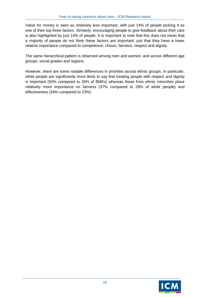Value for money is seen as relatively less important, with just 14% of people picking it as one of their top three factors. Similarly, encouraging people to give feedback about their care is also highlighted by just 14% of people. It is important to note that this does not mean that a majority of people do not think these factors are important, just that they have a lower relative importance compared to competence, choice, fairness, respect and dignity.

The same hierarchical pattern is observed among men and women, and across different age groups, social grades and regions.

However, there are some notable differences in priorities across ethnic groups. In particular, white people are significantly more likely to say that treating people with respect and dignity is important (50% compared to 26% of BMEs) whereas those from ethnic minorities place relatively more importance on fairness (37% compared to 28% of white people) and effectiveness (34% compared to 23%).

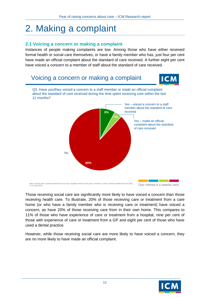# <span id="page-11-0"></span>2. Making a complaint

# <span id="page-11-1"></span>**2.1 Voicing a concern or making a complaint**

Instances of people making complaints are low. Among those who have either received formal health or social care themselves, or have a family member who has, just four per cent have made an official complaint about the standard of care received. A further eight per cent have voiced a concern to a member of staff about the standard of care received.



Those receiving social care are significantly more likely to have voiced a concern than those receiving health care. To illustrate, 20% of those receiving care or treatment from a care home (or who have a family member who is receiving care or treatment) have voiced a concern, as have 20% of those receiving care from in their own home. This compares to 11% of those who have experience of care or treatment from a hospital, nine per cent of those with experience of care or treatment from a GP and eight per cent of those who have used a dental practice.

However, while those receiving social care are more likely to have voiced a concern, they are no more likely to have made an official complaint.

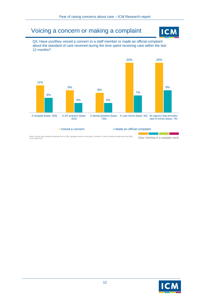# Voicing a concern or making a complaint



Q3. Have you/they voiced a concern to a staff member or made an official complaint about the standard of care received during the time spent receiving care within the last 12 months?



Base: All who have received treatment from a CQC regulated service in the past 12 months, or have a family member who has (932); 12-14 April 2013Clear thinking in a complex world

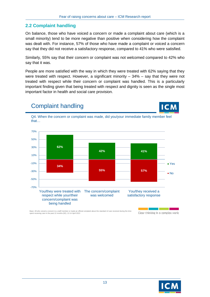# <span id="page-13-0"></span>**2.2 Complaint handling**

Complaint handling

On balance, those who have voiced a concern or made a complaint about care (which is a small minority) tend to be more negative than positive when considering how the complaint was dealt with. For instance, 57% of those who have made a complaint or voiced a concern say that they did not receive a satisfactory response, compared to 41% who were satisfied.

Similarly, 55% say that their concern or complaint was not welcomed compared to 42% who say that it was.

People are more satisfied with the way in which they were treated with 62% saying that they were treated with respect. However, a significant minority  $-34%$  – say that they were not treated with respect while their concern or complaint was handled. This is a particularly important finding given that being treated with respect and dignity is seen as the single most important factor in health and social care provision.



Base: All who voiced a concern to a staff member or made an official complaint about the standard of care received during the time spent receiving care in the past 12 months (92); 12-14 April 2013

Clear thinking in a complex world

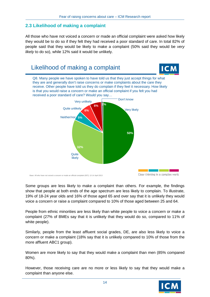# <span id="page-14-0"></span>**2.3 Likelihood of making a complaint**

All those who have not voiced a concern or made an official complaint were asked how likely they would be to do so if they felt they had received a poor standard of care. In total 82% of people said that they would be likely to make a complaint (50% said they would be *very likely* to do so), while 12% said it would be unlikely.



Some groups are less likely to make a complaint than others. For example, the findings show that people at both ends of the age spectrum are less likely to complain. To illustrate, 19% of 18-24 year olds and 16% of those aged 65 and over say that it is unlikely they would voice a concern or raise a complaint compared to 10% of those aged between 25 and 64.

People from ethnic minorities are less likely than white people to voice a concern or make a complaint (27% of BMEs say that it is unlikely that they would do so, compared to 11% of white people).

Similarly, people from the least affluent social grades, DE, are also less likely to voice a concern or make a complaint (18% say that it is unlikely compared to 10% of those from the more affluent ABC1 group).

Women are more likely to say that they would make a complaint than men (85% compared 80%).

However, those receiving care are no more or less likely to say that they would make a complaint than anyone else.

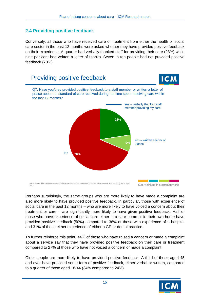# <span id="page-15-0"></span>**2.4 Providing positive feedback**

Conversely, all those who have received care or treatment from either the health or social care sector in the past 12 months were asked whether they have provided positive feedback on their experience. A quarter had verbally thanked staff for providing their care (23%) while nine per cent had written a letter of thanks. Seven in ten people had not provided positive feedback (70%).



Perhaps surprisingly, the same groups who are more likely to have made a complaint are also more likely to have provided positive feedback. In particular, those with experience of social care in the past 12 months – who are more likely to have voiced a concern about their treatment or care – are significantly more likely to have given positive feedback. Half of those who have experience of social care either in a care home or in their own home have provided positive feedback (50%) compared to 36% of those with experience of a hospital and 31% of those either experience of either a GP or dental practice.

To further reinforce this point, 44% of those who have raised a concern or made a complaint about a service say that they have provided positive feedback on their care or treatment compared to 27% of those who have not voiced a concern or made a complaint.

Older people are more likely to have provided positive feedback. A third of those aged 45 and over have provided some form of positive feedback, either verbal or written, compared to a quarter of those aged 18-44 (34% compared to 24%).

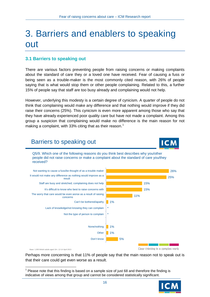# <span id="page-16-0"></span>3. Barriers and enablers to speaking out

# <span id="page-16-1"></span>**3.1 Barriers to speaking out**

There are various factors preventing people from raising concerns or making complaints about the standard of care they or a loved one have received. Fear of causing a fuss or being seen as a trouble-maker is the most commonly cited reason, with 26% of people saying that is what would stop them or other people complaining. Related to this, a further 15% of people say that staff are too busy already and complaining would not help.

However, underlying this modesty is a certain degree of cynicism. A quarter of people do not think that complaining would make any difference and that nothing would improve if they did raise their concerns (25%). This cynicism is even more apparent among those who say that they have already experienced poor quality care but have not made a complaint. Among this group a suspicion that complaining would make no difference is the main reason for not making a complaint, with 33% citing that as their reason.<sup>[1](#page-16-2)</sup>

# Barriers to speaking out



Q5/9. Which one of the following reasons do you think best describes why you/other people did not raise concerns or make a complaint about the standard of care you/they received?



Base: 1,005 British adults aged 18+; 12-14 April 2013

Clear thinking in a complex world

Perhaps more concerning is that 11% of people say that the main reason not to speak out is that their care could get even worse as a result.

<span id="page-16-2"></span><sup>1</sup>  $1$  Please note that this finding is based on a sample size of just 68 and therefore the finding is indicative of views among that group and cannot be considered statistically significant.

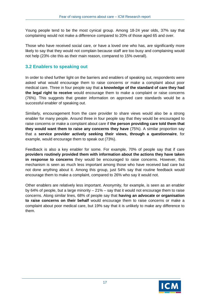Young people tend to be the most cynical group. Among 18-24 year olds, 37% say that complaining would not make a difference compared to 20% of those aged 65 and over.

Those who have received social care, or have a loved one who has, are significantly more likely to say that they would not complain because staff are too busy and complaining would not help (23% cite this as their main reason, compared to 15% overall).

# <span id="page-17-0"></span>**3.2 Enablers to speaking out**

In order to shed further light on the barriers and enablers of speaking out, respondents were asked what would encourage them to raise concerns or make a complaint about poor medical care. Three in four people say that **a knowledge of the standard of care they had the legal right to receive** would encourage them to make a complaint or raise concerns (76%). This suggests that greater information on approved care standards would be a successful enabler of speaking out.

Similarly, encouragement from the care provider to share views would also be a strong enabler for many people. Around three in four people say that they would be encouraged to raise concerns or make a complaint about care if **the person providing care told them that they would want them to raise any concerns they have** (75%). A similar proportion say that a **service provider actively seeking their views, through a questionnaire**, for example, would encourage them to speak out (73%).

Feedback is also a key enabler for some. For example, 70% of people say that if care **providers routinely provided them with information about the actions they have taken in response to concerns** they would be encouraged to raise concerns. However, this mechanism is seen as much less important among those who have received bad care but not done anything about it. Among this group, just 54% say that routine feedback would encourage them to make a complaint, compared to 26% who say it would not.

Other enablers are relatively less important. Anonymity, for example, is seen as an enabler by 64% of people, but a large minority – 21% – say that it would not encourage them to raise concerns. Along similar lines, 68% of people say that **having an advocate or organisation to raise concerns on their behalf** would encourage them to raise concerns or make a complaint about poor medical care, but 19% say that it is unlikely to make any difference to them.

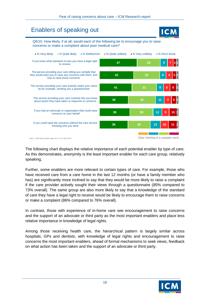# Enablers of speaking out



Q6/10. How likely, if at all, would each of the following be to encourage you to raise concerns or make a complaint about poor medical care?



The following chart displays the relative importance of each potential enabler by type of care. As this demonstrates, anonymity is the least important enabler for each care group, relatively speaking.

Further, some enablers are more relevant to certain types of care. For example, those who have received care from a care home in the last 12 months (or have a family member who has) are significantly more inclined to say that they would be more likely to raise a complaint if the care provider actively sought their views through a questionnaire (85% compared to 73% overall). The same group are also more likely to say that a knowledge of the standard of care they have a legal right to receive would be likely to encourage them to raise concerns or make a complaint (86% compared to 76% overall).

In contrast, those with experience of in-home care see encouragement to raise concerns and the support of an advocate or third party as the most important enablers and place less relative importance in knowledge of legal rights.

Among those receiving health care, the hierarchical pattern is largely similar across hospitals, GPs and dentists, with knowledge of legal rights and encouragement to raise concerns the most important enablers, ahead of formal mechanisms to seek views, feedback on what action has been taken and the support of an advocate or third party.

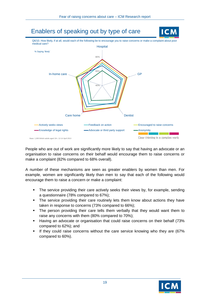

People who are out of work are significantly more likely to say that having an advocate or an organisation to raise concerns on their behalf would encourage them to raise concerns or make a complaint (82% compared to 68% overall).

A number of these mechanisms are seen as greater enablers by women than men. For example, women are significantly likely than men to say that each of the following would encourage them to raise a concern or make a complaint:

- The service providing their care actively seeks their views by, for example, sending a questionnaire (78% compared to 67%);
- **The service providing their care routinely lets them know about actions they have** taken in response to concerns (73% compared to 66%);
- The person providing their care tells them verbally that they would want them to raise any concerns with them (80% compared to 70%);
- Having an advocate or organisation that could raise concerns on their behalf (73% compared to 62%); and
- If they could raise concerns without the care service knowing who they are (67% compared to 60%).

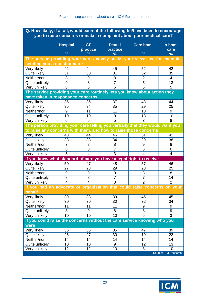### **Q. How likely, if at all, would each of the following be/have been to encourage you to raise concerns or make a complaint about poor medical care?**

|                                                                                    | <b>Hospital</b><br>$\frac{9}{6}$ | <b>GP</b><br>practice<br>% | <b>Dental</b><br>practice<br>% | <b>Care home</b><br>$\frac{9}{6}$ | In-home<br>care<br>$\frac{9}{6}$ |
|------------------------------------------------------------------------------------|----------------------------------|----------------------------|--------------------------------|-----------------------------------|----------------------------------|
| The service providing your care actively seeks your views by, for example,         |                                  |                            |                                |                                   |                                  |
| sending you a questionnaire                                                        |                                  |                            |                                |                                   |                                  |
| Very likely                                                                        | 42                               | 44                         | 45                             | 52                                | 42                               |
| Quite likely                                                                       | 31                               | 30                         | 31                             | 32                                | 35                               |
| Neither/nor                                                                        | 8                                | 9                          | 8                              | $\overline{2}$                    | 4                                |
| Quite unlikely                                                                     | 9                                | 8                          | $\overline{7}$                 | $\overline{5}$                    | 13                               |
| Very unlikely                                                                      | 8                                | 6                          | 6                              | $\overline{5}$                    | 5                                |
| The service providing your care routinely lets you know about action they          |                                  |                            |                                |                                   |                                  |
| have taken in response to concerns                                                 |                                  |                            |                                |                                   |                                  |
| Very likely                                                                        | 36                               | 36                         | 37                             | 43                                | 44                               |
| Quite likely                                                                       | 35                               | 34                         | 35                             | 29                                | 25                               |
| Neither/nor                                                                        | 9                                | 11                         | 11                             | 10                                | 9                                |
| Quite unlikely                                                                     | 10                               | 10                         | 9                              | 13                                | 10                               |
| Very unlikely                                                                      | 6                                | 5                          | 5                              | 3                                 | 8                                |
| The person providing your care telling you verbally that they would want you       |                                  |                            |                                |                                   |                                  |
| to raise any concerns with them, and how to raise those concerns                   |                                  |                            |                                |                                   |                                  |
| Very likely                                                                        | 43                               | 44                         | 45                             | 51                                | 41                               |
| Quite likely                                                                       | 33                               | 33                         | 34                             | 29                                | 38                               |
| Neither/nor                                                                        | $\overline{7}$                   | 8                          | 8                              | 9                                 | 8                                |
| Quite unlikely                                                                     | 8                                | 8                          | $\overline{7}$                 | $\overline{5}$                    | 6                                |
| Very unlikely                                                                      | $\overline{5}$                   | $\overline{4}$             | $\overline{3}$                 | 4                                 | $\overline{4}$                   |
| If you knew what standard of care you have a legal right to receive                |                                  |                            |                                |                                   |                                  |
| Very likely                                                                        | 50                               | 47                         | 48                             | 57                                | 46                               |
| Quite likely                                                                       | 27                               | 28                         | 29                             | 28                                | 25                               |
| Neither/nor                                                                        | 9                                | 9                          | 9                              | 3                                 | 8                                |
| Quite unlikely                                                                     | 8                                | 8                          | $\overline{7}$                 | $\overline{7}$                    | 14                               |
| Very unlikely                                                                      | $\overline{4}$                   | $\overline{4}$             | $\overline{3}$                 | $\overline{2}$                    | $\overline{2}$                   |
| If you had an advocate or organisation that could raise concerns on your<br>behalf |                                  |                            |                                |                                   |                                  |
| Very likely                                                                        | 39                               | 38                         | 39                             | 45                                | 45                               |
| Quite likely                                                                       | 30                               | 30                         | 30                             | 32                                | 34                               |
| Neither/nor                                                                        | 11                               | 11                         | 11                             | 9                                 | 9                                |
| Quite unlikely                                                                     | 8                                | 9                          | 8                              | 8                                 | 9                                |
| Very unlikely                                                                      | 10                               | 10                         | 10                             | 5                                 | 3                                |
| If you could raise the concerns without the care service knowing who you           |                                  |                            |                                |                                   |                                  |
| were                                                                               |                                  |                            |                                |                                   |                                  |
| Very likely                                                                        | 35                               | 35                         | 35                             | 47                                | 39                               |
| Quite likely                                                                       | 26                               | 27                         | 30                             | 19                                | 22                               |
| Neither/nor                                                                        | 14                               | 14                         | 14                             | 14                                | 14                               |
| Quite unlikely                                                                     | 10                               | 10                         | 9                              | 12                                | 13                               |
| Very unlikely                                                                      | 12                               | 12                         | 10                             | 8                                 | 10                               |
|                                                                                    |                                  |                            |                                |                                   | Source: ICM Research             |

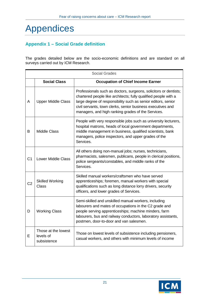# <span id="page-21-0"></span>Appendices

# <span id="page-21-1"></span>**Appendix 1 – Social Grade definition**

The grades detailed below are the socio-economic definitions and are standard on all surveys carried out by ICM Research.

|                | <b>Social Grades</b>                                            |                                                                                                                                                                                                                                                                                                                           |  |  |  |
|----------------|-----------------------------------------------------------------|---------------------------------------------------------------------------------------------------------------------------------------------------------------------------------------------------------------------------------------------------------------------------------------------------------------------------|--|--|--|
|                | <b>Social Class</b><br><b>Occupation of Chief Income Earner</b> |                                                                                                                                                                                                                                                                                                                           |  |  |  |
| A              | <b>Upper Middle Class</b>                                       | Professionals such as doctors, surgeons, solicitors or dentists;<br>chartered people like architects; fully qualified people with a<br>large degree of responsibility such as senior editors, senior<br>civil servants, town clerks, senior business executives and<br>managers, and high ranking grades of the Services. |  |  |  |
| B              | <b>Middle Class</b>                                             | People with very responsible jobs such as university lecturers,<br>hospital matrons, heads of local government departments,<br>middle management in business, qualified scientists, bank<br>managers, police inspectors, and upper grades of the<br>Services.                                                             |  |  |  |
| C <sub>1</sub> | <b>Lower Middle Class</b>                                       | All others doing non-manual jobs; nurses, technicians,<br>pharmacists, salesmen, publicans, people in clerical positions,<br>police sergeants/constables, and middle ranks of the<br>Services.                                                                                                                            |  |  |  |
| C <sub>2</sub> | <b>Skilled Working</b><br><b>Class</b>                          | Skilled manual workers/craftsmen who have served<br>apprenticeships; foremen, manual workers with special<br>qualifications such as long distance lorry drivers, security<br>officers, and lower grades of Services.                                                                                                      |  |  |  |
| D              | <b>Working Class</b>                                            | Semi-skilled and unskilled manual workers, including<br>labourers and mates of occupations in the C2 grade and<br>people serving apprenticeships; machine minders, farm<br>labourers, bus and railway conductors, laboratory assistants,<br>postmen, door-to-door and van salesmen.                                       |  |  |  |
| E              | Those at the lowest<br>levels of<br>subsistence                 | Those on lowest levels of subsistence including pensioners,<br>casual workers, and others with minimum levels of income                                                                                                                                                                                                   |  |  |  |

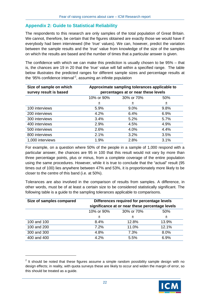# <span id="page-22-0"></span>**Appendix 2: Guide to Statistical Reliability**

The respondents to this research are only samples of the total population of Great Britain. We cannot, therefore, be certain that the figures obtained are exactly those we would have if everybody had been interviewed (the 'true' values). We can, however, predict the variation between the sample results and the 'true' value from knowledge of the size of the samples on which the results are based and the number of times that a particular answer is given.

The confidence with which we can make this prediction is usually chosen to be 95% – that is, the chances are 19 in 20 that the 'true' value will fall within a specified range. The table below illustrates the predicted ranges for different sample sizes and percentage results at the '95% confidence interval'<sup>[2](#page-22-1)</sup>, assuming an infinite population

| Size of sample on which<br>survey result is based | Approximate sampling tolerances applicable to<br>percentages at or near these levels |            |      |  |  |
|---------------------------------------------------|--------------------------------------------------------------------------------------|------------|------|--|--|
|                                                   | 10% or 90%                                                                           | 30% or 70% | 50%  |  |  |
|                                                   | 土                                                                                    | 土          | 士    |  |  |
| 100 interviews                                    | 5.9%                                                                                 | 9.0%       | 9.8% |  |  |
| 200 interviews                                    | 4.2%                                                                                 | 6.4%       | 6.9% |  |  |
| 300 interviews                                    | 3.4%                                                                                 | 5.2%       | 5.7% |  |  |
| 400 interviews                                    | 2.9%                                                                                 | 4.5%       | 4.9% |  |  |
| 500 interviews                                    | 2.6%                                                                                 | 4.0%       | 4.4% |  |  |
| 800 interviews                                    | 2.1%                                                                                 | 3.2%       | 3.5% |  |  |
| 1,000 interviews                                  | 1.9%                                                                                 | 2.8%       | 3.1% |  |  |

For example, on a question where 50% of the people in a sample of 1,000 respond with a particular answer, the chances are 95 in 100 that this result would not vary by more than three percentage points, plus or minus, from a complete coverage of the entire population using the same procedures. However, while it is true to conclude that the "actual" result (95 times out of 100) lies anywhere between 47% and 53%, it is proportionately more likely to be closer to the centre of this band (i.e. at 50%).

Tolerances are also involved in the comparison of results from samples. A difference, in other words, must be of at least a certain size to be considered statistically significant. The following table is a guide to the sampling tolerances applicable to comparisons.

| Size of samples compared | Differences required for percentage levels<br>significance at or near these percentage levels |            |       |  |  |
|--------------------------|-----------------------------------------------------------------------------------------------|------------|-------|--|--|
|                          | 10% or 90%                                                                                    | 30% or 70% | 50%   |  |  |
|                          | 土                                                                                             | 土          | 士     |  |  |
| 100 and 100              | 8.4%                                                                                          | 12.8%      | 13.9% |  |  |
| 100 and 200              | 7.2%                                                                                          | 11.0%      | 12.1% |  |  |
| 300 and 300              | 4.8%                                                                                          | 7.3%       | 8.0%  |  |  |
| 400 and 400              | 4.2%                                                                                          | 5.5%       | 6.9%  |  |  |

1



<span id="page-22-1"></span> $2$  It should be noted that these figures assume a simple random possibility sample design with no design effects; in reality, with quota surveys these are likely to occur and widen the margin of error, so this should be treated as a guide.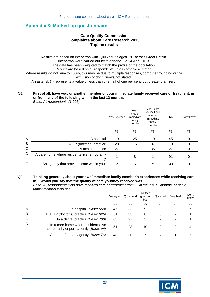# <span id="page-23-0"></span>**Appendix 3: Marked-up questionnaire**

#### **Care Quality Commission Complaints about Care Research 2013 Topline results**

Results are based on interviews with 1,005 adults aged 18+ across Great Britain. Interviews were carried out by telephone, 12-14 April 2013. The data has been weighted to match the profile of the population. Results are based on all respondents unless otherwise stated. Where results do not sum to 100%, this may be due to multiple responses, computer rounding or the exclusion of don't knows/not stated. An asterisk (\*) represents a value of less than one half of one per cent, but greater than zero.

#### Q1. **First of all, have you, or another member of your immediate family received care or treatment, in or from, any of the following within the last 12 months** *Base: All respondents (1,005)*

|   |                                                                | Yes - yourself | $Yes -$<br>another<br>immediate<br>family<br>member | $Yes - both$<br>yourself and<br>another<br>immediate<br>family<br>member | <b>No</b> | Don't know |
|---|----------------------------------------------------------------|----------------|-----------------------------------------------------|--------------------------------------------------------------------------|-----------|------------|
|   |                                                                | %              | %                                                   | %                                                                        | %         | %          |
| A | A hospital                                                     | 19             | 25                                                  | 10                                                                       | 45        | 0          |
| B | A GP (doctor's) practice                                       | 28             | 16                                                  | 37                                                                       | 19        | 0          |
| C | A dental practice                                              | 27             | 11                                                  | 35                                                                       | 27        | 0          |
| D | A care home where residents live temporarily<br>or permanently | 1              | 8                                                   | 1                                                                        | 91        | 0          |
| Е | An agency that provides care within your                       | 2              | 5                                                   | $\star$                                                                  | 93        | 0          |
|   |                                                                |                |                                                     |                                                                          |           |            |

#### Q2. **Thinking generally about your own/immediate family member's experiences while receiving care in… would you say that the quality of care you/they received was…**

*Base: All respondents who have received care or treatment from … in the last 12 months, or has a family member who has*

|   |                                                                              | Very good | Quite good | Neither<br>good nor<br>bad | Quite bad | Very bad | Don't<br>know |
|---|------------------------------------------------------------------------------|-----------|------------|----------------------------|-----------|----------|---------------|
|   |                                                                              | %         | $\%$       | %                          | $\%$      | %        | %             |
| A | In hospital (Base: 559)                                                      | 47        | 33         | 9                          | 5         | 6        | $\star$       |
| B | In a GP (doctor's) practice (Base: 825)                                      | 51        | 35         | 8                          | 3         | ⌒        |               |
| С | In a dental practice (Base: 730)                                             | 63        | 27         | 5                          |           |          |               |
|   | In a care home where residents live<br>temporarily or permanently (Base: 94) | 51        | 23         | 10                         | 9         |          |               |
|   | At home from an agency (Base: 76)                                            | 48        | 30         |                            |           |          |               |

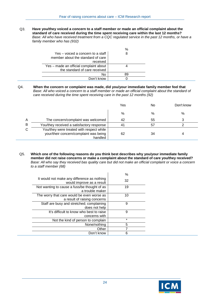Q3. **Have you/they voiced a concern to a staff member or made an official complaint about the standard of care received during the time spent receiving care within the last 12 months?** *Base: All who have received treatment from a CQC regulated service in the past 12 months, or have a family member who has (932)*

|                                                                        | % |
|------------------------------------------------------------------------|---|
| Yes – voiced a concern to a staff<br>member about the standard of care | 8 |
| received                                                               |   |
| Yes - made an official complaint about                                 |   |
| the standard of care received                                          |   |
| No                                                                     |   |
| Don't know                                                             |   |

Q4. **When the concern or complaint was made, did you/your immediate family member feel that**  *Base: All who voiced a concern to a staff member or made an official complaint about the standard of care received during the time spent receiving care in the past 12 months (92)*

|        |                                                                                               | Yes | No | Don't know |
|--------|-----------------------------------------------------------------------------------------------|-----|----|------------|
|        |                                                                                               | %   | %  | %          |
| А<br>В | The concern/complaint was welcomed                                                            | 42  | 55 |            |
|        | You/they received a satisfactory response                                                     |     |    |            |
| С      | You/they were treated with respect while<br>your/their concern/complaint was being<br>handled | 62  | 34 |            |

Q5. **Which one of the following reasons do you think best describes why you/your immediate family member did not raise concerns or make a complaint about the standard of care you/they received?**  *Base: All who say they received bas quality care but did not make an official complaint or voice a concern to a staff member (68)*

|                                                                            | $\%$    |
|----------------------------------------------------------------------------|---------|
| It would not make any difference as nothing<br>would improve as a result   | 32      |
| Not wanting to cause a fuss/be thought of as<br>a trouble maker            | 19      |
| The worry that care would be even worse as<br>a result of raising concerns | 10      |
| Staff are busy and stretched; complaining<br>does not help                 | 9       |
| It's difficult to know who best to raise<br>concerns with                  | 9       |
| Not the kind of person to complain                                         | $\star$ |
| None/nothing                                                               | 5       |
| Other                                                                      |         |
| Don't know                                                                 | հ       |

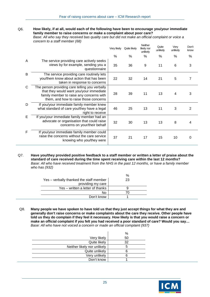Q6. **How likely, if at all, would each of the following have been to encourage you/your immediate family member to raise concerns or make a complaint about poor care?** 

*Base: All who say they received bas quality care but did not make an official complaint or voice a concern to a staff member (68)*

|   |                                                                                                                                                                                | Very likely | Quite likely | Neither<br>likely nor<br>unlikely | Quite<br>unlikely | Very<br>unlikely | Don't<br>know |
|---|--------------------------------------------------------------------------------------------------------------------------------------------------------------------------------|-------------|--------------|-----------------------------------|-------------------|------------------|---------------|
|   |                                                                                                                                                                                | $\%$        | %            | %                                 | %                 | %                | %             |
| A | The service providing care actively seeks<br>views by for example, sending you a<br>questionnaire                                                                              | 35          | 36           | 9                                 | 11                | 6                | 3             |
| B | The service providing care routinely lets<br>you/them know about action that has been<br>taken in response to concerns                                                         | 22          | 32           | 14                                | 21                | 5                | 7             |
| С | The person providing care telling you verbally<br>that they would want you/your immediate<br>family member to raise any concerns with<br>them, and how to raise those concerns | 28          | 39           | 11                                | 13                | 4                | 3             |
| D | If you/your immediate family member knew<br>what standard of care you/they have a legal<br>right to receive                                                                    | 46          | 25           | 13                                | 11                | 3                | 2             |
| Е | If you/your immediate family member had an<br>advocate or organisation that could raise<br>concerns on your/their behalf                                                       | 32          | 30           | 13                                | 13                | 8                | 4             |
| F | If you/your immediate family member could<br>raise the concerns without the care service<br>knowing who you/they were                                                          | 37          | 21           | 17                                | 15                | 10               | 0             |

Q7. **Have you/they provided positive feedback to a staff member or written a letter of praise about the standard of care received during the time spent receiving care within the last 12 months?** *Base: All who have received treatment from the NHS in the past 12 months, or have a family member who has (932)*

|                                         | %  |
|-----------------------------------------|----|
| Yes - verbally thanked the staff member | 23 |
| providing my care                       |    |
| Yes – written a letter of thanks        |    |
| No                                      | 70 |
| Don't know                              |    |

Q8. **Many people we have spoken to have told us that they just accept things for what they are and generally don't raise concerns or make complaints about the care they receive. Other people have told us they do complain if they feel it necessary. How likely is that you would raise a concern or make an official complaint if you felt you had received a poor standard of care? Would you say…** *Base: All who have not voiced a concern or made an official complaint (937)*

|                             | %  |
|-----------------------------|----|
| Very likely                 | 50 |
| Quite likely                | 32 |
| Neither likely nor unlikely | h  |
| Quite unlikely              |    |
| Very unlikely               |    |
| Don't know                  |    |

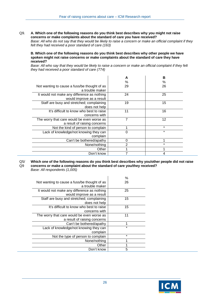Q9. **A. Which one of the following reasons do you think best describes why you might not raise concerns or make complaints about the standard of care you have received?** 

*Base: All who do not say that they would be likely to raise a concern or make an official complaint if they felt they had received a poor standard of care (163)*

**B. Which one of the following reasons do you think best describes why other people we have spoken might not raise concerns or make complaints about the standard of care they have received?**

*Base: All who say that they would be likely to raise a concern or make an official complaint if they felt they had received a poor standard of care (774)*

|                                              | A              | в       |
|----------------------------------------------|----------------|---------|
|                                              | $\%$           | %       |
| Not wanting to cause a fuss/be thought of as | 29             | 26      |
| a trouble maker                              |                |         |
| It would not make any difference as nothing  | 24             | 25      |
| would improve as a result                    |                |         |
| Staff are busy and stretched; complaining    | 19             | 15      |
| does not help                                |                |         |
| It's difficult to know who best to raise     | 11             | 16      |
| concerns with                                |                |         |
| The worry that care would be even worse as   |                | 12      |
| a result of raising concerns                 |                |         |
| Not the kind of person to complain           |                | $\star$ |
| Lack of knowledge/not knowing they can       |                | $\star$ |
| complain                                     |                |         |
| Can't be bothered/apathy                     | 0              |         |
| None/nothing                                 | $\overline{2}$ | $\star$ |
| Other                                        |                |         |
| Don't know                                   |                |         |

 $Q5/$  $O9$ **Which one of the following reasons do you think best describes why you/other people did not raise concerns or make a complaint about the standard of care you/they received?**  *Base: All respondents (1,005)*

|                                                                 | $\%$    |
|-----------------------------------------------------------------|---------|
| Not wanting to cause a fuss/be thought of as<br>a trouble maker | 26      |
|                                                                 |         |
| It would not make any difference as nothing                     | 25      |
| would improve as a result                                       |         |
| Staff are busy and stretched; complaining                       | 15      |
| does not help                                                   |         |
| It's difficult to know who best to raise                        | 15      |
| concerns with                                                   |         |
| The worry that care would be even worse as                      | 11      |
| a result of raising concerns                                    |         |
| Can't be bothered/apathy                                        |         |
| Lack of knowledge/not knowing they can                          | $\star$ |
| complain                                                        |         |
| Not the type of person to complain                              | $\star$ |
| None/nothing                                                    |         |
| Other                                                           |         |
| Don't know                                                      | 5       |

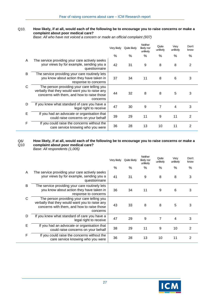#### Q10. **How likely, if at all, would each of the following be to encourage you to raise concerns or make a complaint about poor medical care?**

*Base: All who have not voiced a concern or made an official complaint (937)*

|   |                                                                                                                                                        | Very likely | Quite likely | <b>Neither</b><br>likely nor<br>unlikely | Quite<br>unlikely | Very<br>unlikely | Don't<br>know  |
|---|--------------------------------------------------------------------------------------------------------------------------------------------------------|-------------|--------------|------------------------------------------|-------------------|------------------|----------------|
|   |                                                                                                                                                        | $\%$        | %            | $\frac{0}{6}$                            | $\%$              | $\%$             | $\%$           |
| A | The service providing your care actively seeks<br>your views by for example, sending you a<br>questionnaire                                            | 42          | 31           | 9                                        | 8                 | 8                | 2              |
| B | The service providing your care routinely lets<br>you know about action they have taken in<br>response to concerns                                     | 37          | 34           | 11                                       | 8                 | 6                | 3              |
| C | The person providing your care telling you<br>verbally that they would want you to raise any<br>concerns with them, and how to raise those<br>concerns | 44          | 32           | 8                                        | 8                 | 5                | 3              |
| D | If you knew what standard of care you have a<br>legal right to receive                                                                                 | 47          | 30           | 9                                        | 7                 | 4                | 3              |
| Е | If you had an advocate or organisation that<br>could raise concerns on your behalf                                                                     | 39          | 29           | 11                                       | 9                 | 11               | $\overline{2}$ |
| F | If you could raise the concerns without the<br>care service knowing who you were                                                                       | 36          | 28           | 13                                       | 10                | 11               | $\overline{2}$ |

#### Q6/ Q10 **How likely, if at all, would each of the following be to encourage you to raise concerns or make a complaint about poor medical care?**

*Base: All respondents (1,005)*

|   |                                                                                                                                                        | Very likely | Quite likely | <b>Neither</b><br>likely nor<br>unlikely | Quite<br>unlikely | Very<br>unlikely | Don't<br>know  |
|---|--------------------------------------------------------------------------------------------------------------------------------------------------------|-------------|--------------|------------------------------------------|-------------------|------------------|----------------|
|   |                                                                                                                                                        | $\%$        | $\%$         | $\%$                                     | $\%$              | $\%$             | $\%$           |
| A | The service providing your care actively seeks<br>your views by for example, sending you a<br>questionnaire                                            | 41          | 31           | 9                                        | 8                 | 8                | 3              |
| B | The service providing your care routinely lets<br>you know about action they have taken in<br>response to concerns                                     | 36          | 34           | 11                                       | 9                 | 6                | 3              |
| C | The person providing your care telling you<br>verbally that they would want you to raise any<br>concerns with them, and how to raise those<br>concerns | 43          | 33           | 8                                        | 8                 | 5                | 3              |
| D | If you knew what standard of care you have a<br>legal right to receive                                                                                 | 47          | 29           | 9                                        | 7                 | $\overline{4}$   | 3              |
| E | If you had an advocate or organisation that<br>could raise concerns on your behalf                                                                     | 38          | 29           | 11                                       | 9                 | 10               | $\overline{2}$ |
| F | If you could raise the concerns without the<br>care service knowing who you were                                                                       | 36          | 28           | 13                                       | 10                | 11               | 2              |

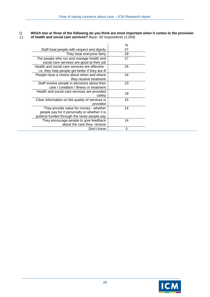#### Q 11. **Which two or three of the following do you think are most important when it comes to the provision of health and social care services?** *Base: All respondents (1,005)*

|                                                                                                                                         | $\%$ |
|-----------------------------------------------------------------------------------------------------------------------------------------|------|
| Staff treat people with respect and dignity                                                                                             | 47   |
| They treat everyone fairly                                                                                                              | 29   |
| The people who run and manage health and<br>social care services are good at their job                                                  | 27   |
| Health and social care services are effective -<br>i.e. they help people get better if they are ill                                     | 24   |
| People have a choice about when and where<br>they receive treatment                                                                     | 24   |
| Staff involve people in decisions about their<br>care / condition / illness or treatment                                                | 23   |
| Health and social care services are provided<br>safely                                                                                  | 18   |
| Clear information on the quality of services is<br>provided                                                                             | 15   |
| They provide value for money - whether<br>people pay for it personally or whether it is<br>publicly-funded through the taxes people pay | 14   |
| They encourage people to give feedback<br>about the care they receive                                                                   | 14   |
| Don't know                                                                                                                              | 5    |

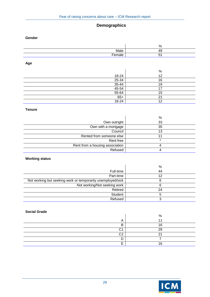# **Demographics**

#### **Gender**

|                          | <sup>0</sup><br>. |
|--------------------------|-------------------|
| aic                      |                   |
| $\overline{\phantom{a}}$ |                   |

**Age** 

|           | $\%$   |
|-----------|--------|
| 18-24     | 12     |
| $25 - 34$ | 16     |
| $35 - 44$ | 19     |
| $45 - 54$ |        |
| $55 - 64$ | 5      |
| $65+$     | ິ      |
| 18-24     | c<br>∠ |

#### **Tenure**

| %       |
|---------|
| 33      |
| 35      |
| 13      |
|         |
| $\star$ |
|         |
|         |
|         |

### **Working status**

|                                                             | %  |
|-------------------------------------------------------------|----|
| Full-time                                                   | 44 |
| Part-time                                                   | 12 |
| Not working but seeking work or temporarily unemployed/sick |    |
| Not working/Not seeking work                                |    |
| Retired                                                     | 24 |
| Student                                                     |    |
| Refused                                                     |    |

#### **Social Grade**

|    | o۱ |
|----|----|
|    |    |
|    | ְ  |
|    | oc |
| ⌒⌒ |    |
|    |    |
|    |    |